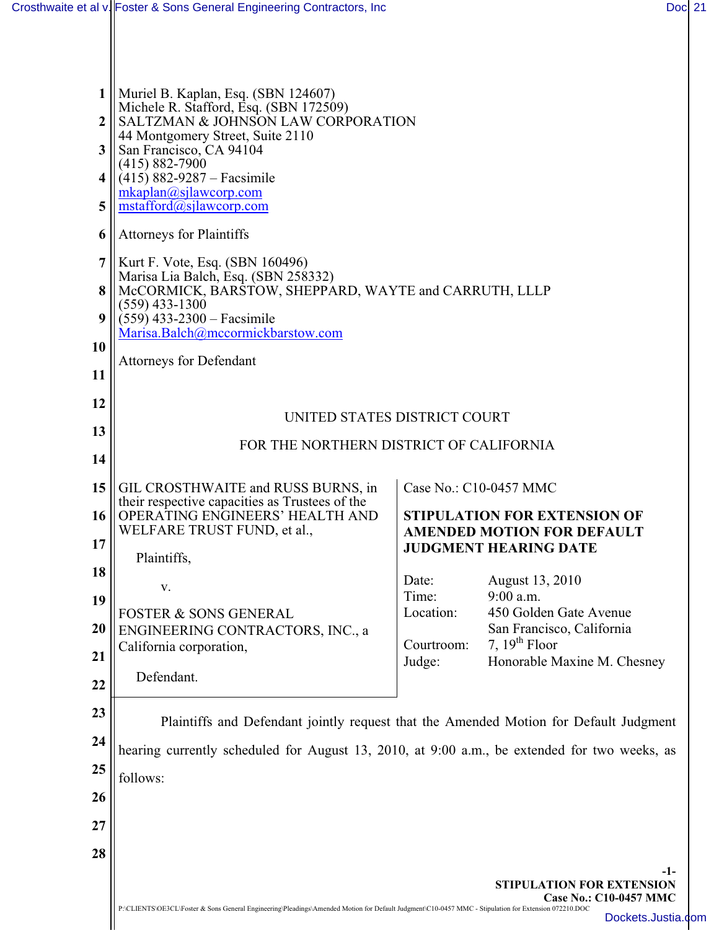| 1<br>$\boldsymbol{2}$ | Muriel B. Kaplan, Esq. (SBN 124607)<br>Michele R. Stafford, Esq. (SBN 172509)<br>SALTZMAN & JOHNSON LAW CORPORATION                                  |                      |                                                |  |  |
|-----------------------|------------------------------------------------------------------------------------------------------------------------------------------------------|----------------------|------------------------------------------------|--|--|
| 3                     | 44 Montgomery Street, Suite 2110<br>San Francisco, CA 94104                                                                                          |                      |                                                |  |  |
| 4                     | $(415) 882 - 7900$<br>$(415)$ 882-9287 – Facsimile                                                                                                   |                      |                                                |  |  |
| 5                     | mkaplan@silawcorp.com<br>$m_{\text{stafford}}(\overline{a})$ sjlawcorp.com                                                                           |                      |                                                |  |  |
|                       |                                                                                                                                                      |                      |                                                |  |  |
| 6                     | <b>Attorneys for Plaintiffs</b>                                                                                                                      |                      |                                                |  |  |
| 7                     | Kurt F. Vote, Esq. (SBN 160496)<br>Marisa Lia Balch, Esq. (SBN 258332)                                                                               |                      |                                                |  |  |
| 8                     | McCORMICK, BARSTOW, SHEPPARD, WAYTE and CARRUTH, LLLP<br>$(559)$ 433-1300                                                                            |                      |                                                |  |  |
| 9                     | $(559)$ 433-2300 – Facsimile<br>Marisa.Balch@mccormickbarstow.com                                                                                    |                      |                                                |  |  |
| <b>10</b>             |                                                                                                                                                      |                      |                                                |  |  |
| <b>11</b>             | <b>Attorneys for Defendant</b>                                                                                                                       |                      |                                                |  |  |
| 12                    |                                                                                                                                                      |                      |                                                |  |  |
| 13                    | UNITED STATES DISTRICT COURT                                                                                                                         |                      |                                                |  |  |
| 14                    | FOR THE NORTHERN DISTRICT OF CALIFORNIA                                                                                                              |                      |                                                |  |  |
| 15                    | GIL CROSTHWAITE and RUSS BURNS, in                                                                                                                   |                      | Case No.: C10-0457 MMC                         |  |  |
| 16                    | their respective capacities as Trustees of the<br>OPERATING ENGINEERS' HEALTH AND                                                                    |                      | <b>STIPULATION FOR EXTENSION OF</b>            |  |  |
|                       | WELFARE TRUST FUND, et al.,                                                                                                                          |                      | <b>AMENDED MOTION FOR DEFAULT</b>              |  |  |
| 17                    | Plaintiffs,                                                                                                                                          |                      | <b>JUDGMENT HEARING DATE</b>                   |  |  |
| 18                    | v.                                                                                                                                                   | Date:                | August 13, 2010                                |  |  |
| 19                    | <b>FOSTER &amp; SONS GENERAL</b>                                                                                                                     | Time:<br>Location:   | $9:00$ a.m.<br>450 Golden Gate Avenue          |  |  |
| <b>20</b>             | ENGINEERING CONTRACTORS, INC., a                                                                                                                     |                      | San Francisco, California                      |  |  |
| 21                    | California corporation,                                                                                                                              | Courtroom:<br>Judge: | 7, $19th$ Floor<br>Honorable Maxine M. Chesney |  |  |
| 22                    | Defendant.                                                                                                                                           |                      |                                                |  |  |
| 23                    |                                                                                                                                                      |                      |                                                |  |  |
| 24                    | Plaintiffs and Defendant jointly request that the Amended Motion for Default Judgment                                                                |                      |                                                |  |  |
|                       | hearing currently scheduled for August 13, 2010, at 9:00 a.m., be extended for two weeks, as                                                         |                      |                                                |  |  |
| 25                    | follows:                                                                                                                                             |                      |                                                |  |  |
| 26                    |                                                                                                                                                      |                      |                                                |  |  |
| 27                    |                                                                                                                                                      |                      |                                                |  |  |
| 28                    |                                                                                                                                                      |                      |                                                |  |  |
|                       |                                                                                                                                                      |                      | -1-<br><b>STIPULATION FOR EXTENSION</b>        |  |  |
|                       | P:\CLIENTS\OE3CL\Foster & Sons General Engineering\Pleadings\Amended Motion for Default Judgment\C10-0457 MMC - Stipulation for Extension 072210.DOC |                      | Case No.: C10-0457 MMC                         |  |  |